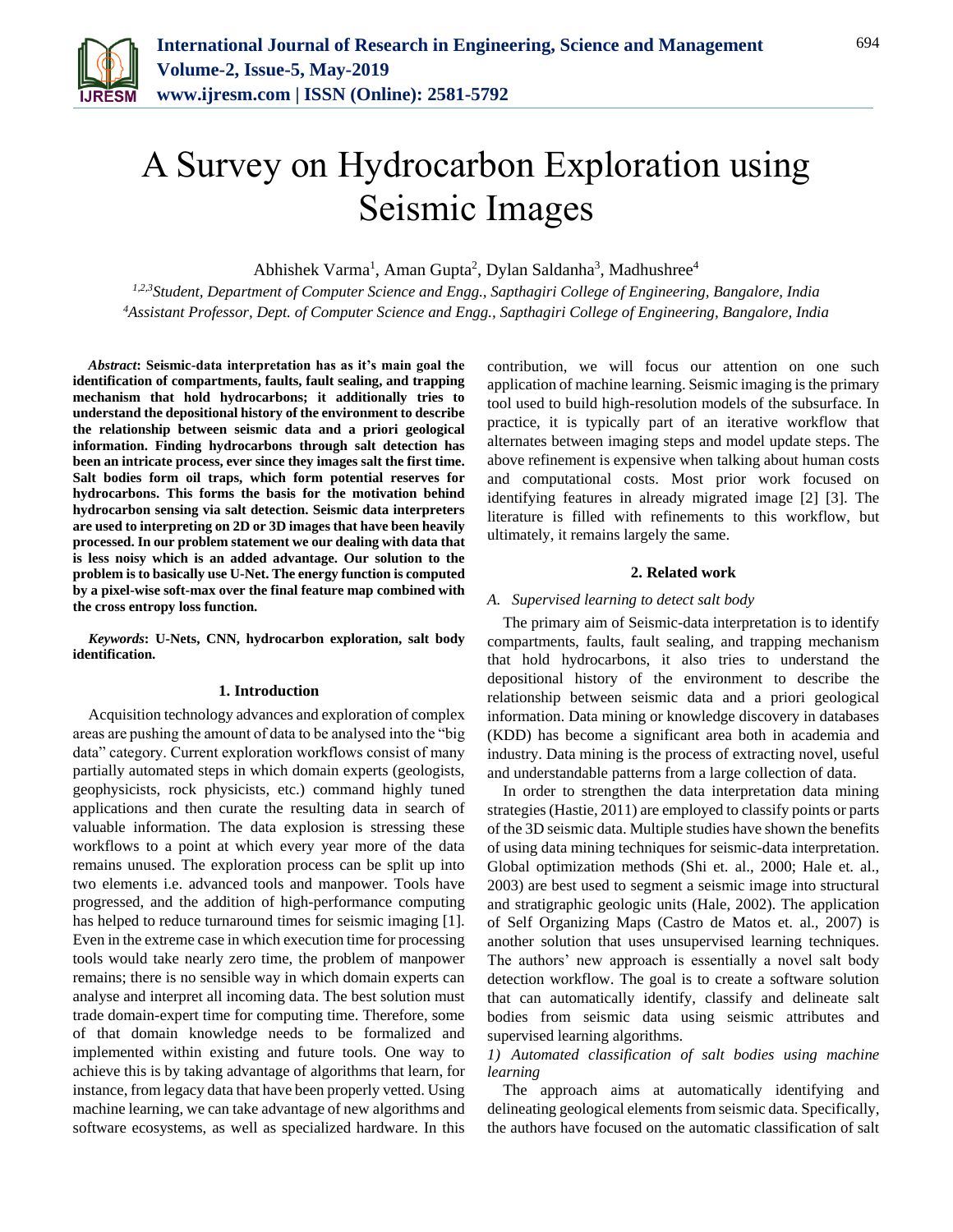

# A Survey on Hydrocarbon Exploration using Seismic Images

Abhishek Varma<sup>1</sup>, Aman Gupta<sup>2</sup>, Dylan Saldanha<sup>3</sup>, Madhushree<sup>4</sup>

*1,2,3Student, Department of Computer Science and Engg., Sapthagiri College of Engineering, Bangalore, India <sup>4</sup>Assistant Professor, Dept. of Computer Science and Engg., Sapthagiri College of Engineering, Bangalore, India*

*Abstract***: Seismic-data interpretation has as it's main goal the identification of compartments, faults, fault sealing, and trapping mechanism that hold hydrocarbons; it additionally tries to understand the depositional history of the environment to describe the relationship between seismic data and a priori geological information. Finding hydrocarbons through salt detection has been an intricate process, ever since they images salt the first time. Salt bodies form oil traps, which form potential reserves for hydrocarbons. This forms the basis for the motivation behind hydrocarbon sensing via salt detection. Seismic data interpreters are used to interpreting on 2D or 3D images that have been heavily processed. In our problem statement we our dealing with data that is less noisy which is an added advantage. Our solution to the problem is to basically use U-Net. The energy function is computed by a pixel-wise soft-max over the final feature map combined with the cross entropy loss function.** 

*Keywords***: U-Nets, CNN, hydrocarbon exploration, salt body identification.** 

#### **1. Introduction**

Acquisition technology advances and exploration of complex areas are pushing the amount of data to be analysed into the "big data" category. Current exploration workflows consist of many partially automated steps in which domain experts (geologists, geophysicists, rock physicists, etc.) command highly tuned applications and then curate the resulting data in search of valuable information. The data explosion is stressing these workflows to a point at which every year more of the data remains unused. The exploration process can be split up into two elements i.e. advanced tools and manpower. Tools have progressed, and the addition of high-performance computing has helped to reduce turnaround times for seismic imaging [1]. Even in the extreme case in which execution time for processing tools would take nearly zero time, the problem of manpower remains; there is no sensible way in which domain experts can analyse and interpret all incoming data. The best solution must trade domain-expert time for computing time. Therefore, some of that domain knowledge needs to be formalized and implemented within existing and future tools. One way to achieve this is by taking advantage of algorithms that learn, for instance, from legacy data that have been properly vetted. Using machine learning, we can take advantage of new algorithms and software ecosystems, as well as specialized hardware. In this

contribution, we will focus our attention on one such application of machine learning. Seismic imaging is the primary tool used to build high-resolution models of the subsurface. In practice, it is typically part of an iterative workflow that alternates between imaging steps and model update steps. The above refinement is expensive when talking about human costs and computational costs. Most prior work focused on identifying features in already migrated image [2] [3]. The literature is filled with refinements to this workflow, but ultimately, it remains largely the same.

# **2. Related work**

## *A. Supervised learning to detect salt body*

The primary aim of Seismic-data interpretation is to identify compartments, faults, fault sealing, and trapping mechanism that hold hydrocarbons, it also tries to understand the depositional history of the environment to describe the relationship between seismic data and a priori geological information. Data mining or knowledge discovery in databases (KDD) has become a significant area both in academia and industry. Data mining is the process of extracting novel, useful and understandable patterns from a large collection of data.

In order to strengthen the data interpretation data mining strategies (Hastie, 2011) are employed to classify points or parts of the 3D seismic data. Multiple studies have shown the benefits of using data mining techniques for seismic-data interpretation. Global optimization methods (Shi et. al., 2000; Hale et. al., 2003) are best used to segment a seismic image into structural and stratigraphic geologic units (Hale, 2002). The application of Self Organizing Maps (Castro de Matos et. al., 2007) is another solution that uses unsupervised learning techniques. The authors' new approach is essentially a novel salt body detection workflow. The goal is to create a software solution that can automatically identify, classify and delineate salt bodies from seismic data using seismic attributes and supervised learning algorithms.

# *1) Automated classification of salt bodies using machine learning*

The approach aims at automatically identifying and delineating geological elements from seismic data. Specifically, the authors have focused on the automatic classification of salt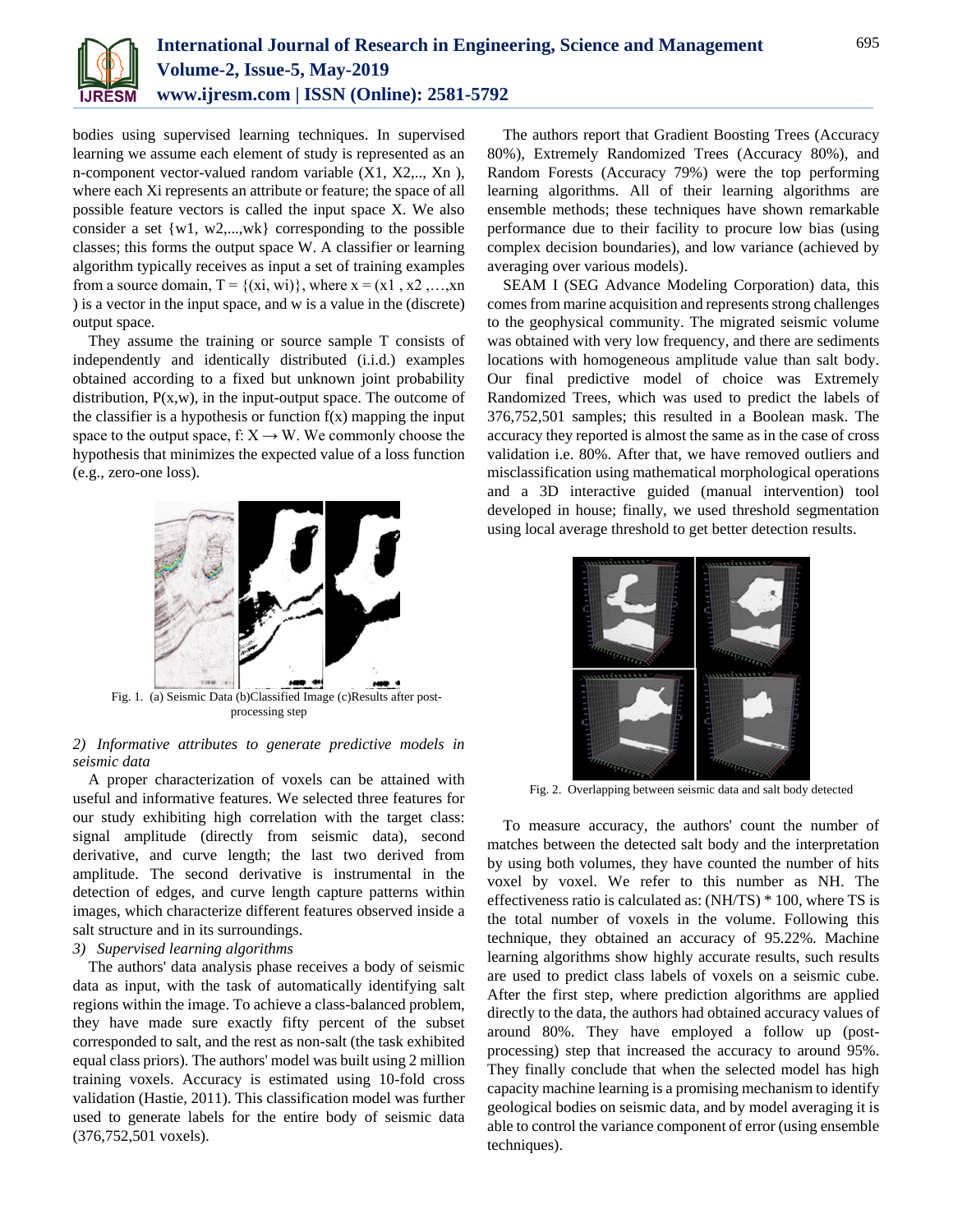

bodies using supervised learning techniques. In supervised learning we assume each element of study is represented as an n-component vector-valued random variable (X1, X2,.., Xn ), where each Xi represents an attribute or feature; the space of all possible feature vectors is called the input space X. We also consider a set  $\{w1, w2,...,wk\}$  corresponding to the possible classes; this forms the output space W. A classifier or learning algorithm typically receives as input a set of training examples from a source domain,  $T = \{(xi, wi)\}$ , where  $x = (x1, x2, \ldots, xn)$ ) is a vector in the input space, and w is a value in the (discrete) output space.

They assume the training or source sample T consists of independently and identically distributed (i.i.d.) examples obtained according to a fixed but unknown joint probability distribution,  $P(x, w)$ , in the input-output space. The outcome of the classifier is a hypothesis or function  $f(x)$  mapping the input space to the output space, f:  $X \rightarrow W$ . We commonly choose the hypothesis that minimizes the expected value of a loss function (e.g., zero-one loss).



processing step

# *2) Informative attributes to generate predictive models in seismic data*

A proper characterization of voxels can be attained with useful and informative features. We selected three features for our study exhibiting high correlation with the target class: signal amplitude (directly from seismic data), second derivative, and curve length; the last two derived from amplitude. The second derivative is instrumental in the detection of edges, and curve length capture patterns within images, which characterize different features observed inside a salt structure and in its surroundings.

# *3) Supervised learning algorithms*

The authors' data analysis phase receives a body of seismic data as input, with the task of automatically identifying salt regions within the image. To achieve a class-balanced problem, they have made sure exactly fifty percent of the subset corresponded to salt, and the rest as non-salt (the task exhibited equal class priors). The authors' model was built using 2 million training voxels. Accuracy is estimated using 10-fold cross validation (Hastie, 2011). This classification model was further used to generate labels for the entire body of seismic data (376,752,501 voxels).

The authors report that Gradient Boosting Trees (Accuracy 80%), Extremely Randomized Trees (Accuracy 80%), and Random Forests (Accuracy 79%) were the top performing learning algorithms. All of their learning algorithms are ensemble methods; these techniques have shown remarkable performance due to their facility to procure low bias (using complex decision boundaries), and low variance (achieved by averaging over various models).

SEAM I (SEG Advance Modeling Corporation) data, this comes from marine acquisition and represents strong challenges to the geophysical community. The migrated seismic volume was obtained with very low frequency, and there are sediments locations with homogeneous amplitude value than salt body. Our final predictive model of choice was Extremely Randomized Trees, which was used to predict the labels of 376,752,501 samples; this resulted in a Boolean mask. The accuracy they reported is almost the same as in the case of cross validation i.e. 80%. After that, we have removed outliers and misclassification using mathematical morphological operations and a 3D interactive guided (manual intervention) tool developed in house; finally, we used threshold segmentation using local average threshold to get better detection results.



Fig. 2. Overlapping between seismic data and salt body detected

To measure accuracy, the authors' count the number of matches between the detected salt body and the interpretation by using both volumes, they have counted the number of hits voxel by voxel. We refer to this number as NH. The effectiveness ratio is calculated as: (NH/TS) \* 100, where TS is the total number of voxels in the volume. Following this technique, they obtained an accuracy of 95.22%. Machine learning algorithms show highly accurate results, such results are used to predict class labels of voxels on a seismic cube. After the first step, where prediction algorithms are applied directly to the data, the authors had obtained accuracy values of around 80%. They have employed a follow up (postprocessing) step that increased the accuracy to around 95%. They finally conclude that when the selected model has high capacity machine learning is a promising mechanism to identify geological bodies on seismic data, and by model averaging it is able to control the variance component of error (using ensemble techniques).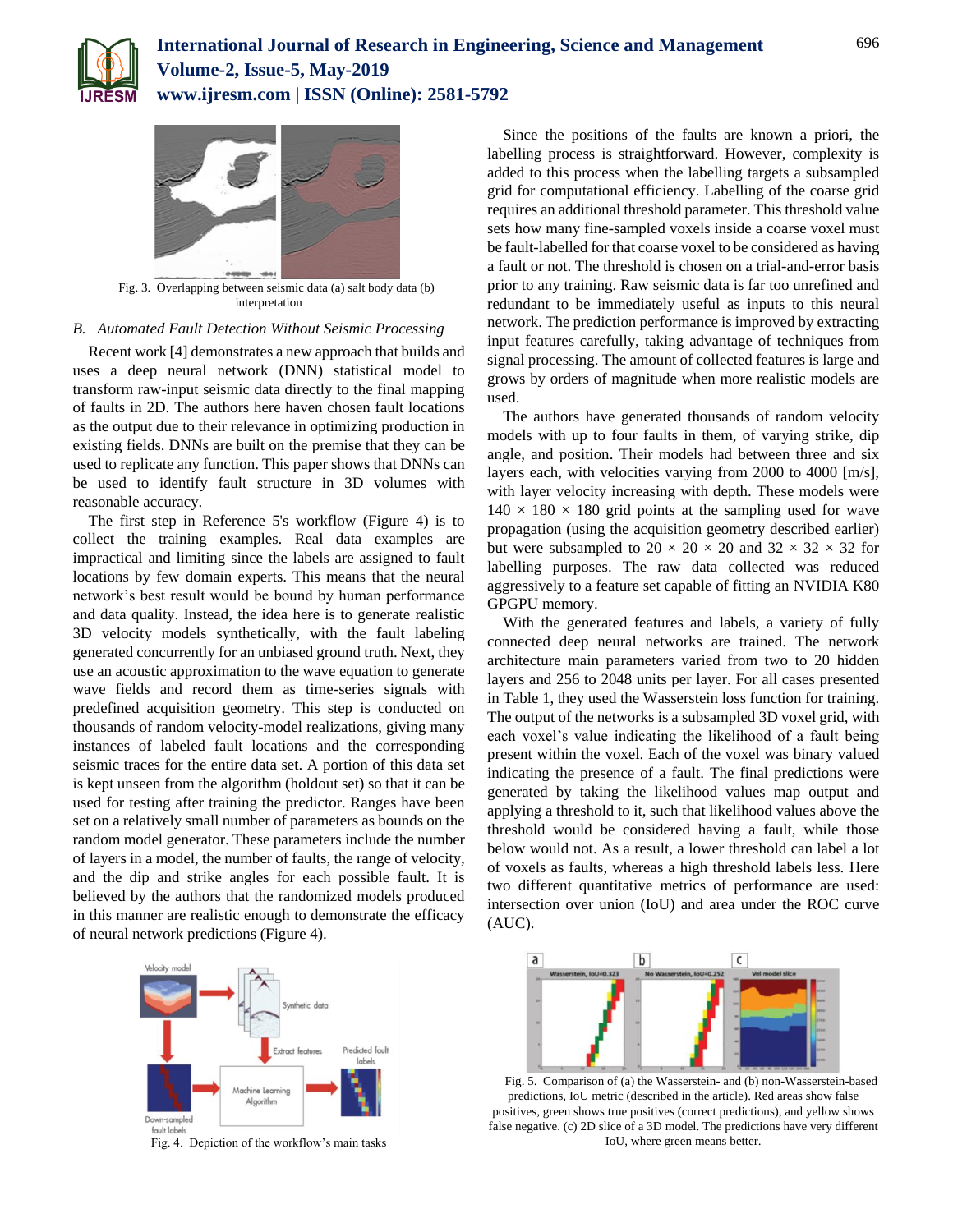



Fig. 3. Overlapping between seismic data (a) salt body data (b) interpretation

#### *B. Automated Fault Detection Without Seismic Processing*

Recent work [4] demonstrates a new approach that builds and uses a deep neural network (DNN) statistical model to transform raw-input seismic data directly to the final mapping of faults in 2D. The authors here haven chosen fault locations as the output due to their relevance in optimizing production in existing fields. DNNs are built on the premise that they can be used to replicate any function. This paper shows that DNNs can be used to identify fault structure in 3D volumes with reasonable accuracy.

The first step in Reference 5's workflow (Figure 4) is to collect the training examples. Real data examples are impractical and limiting since the labels are assigned to fault locations by few domain experts. This means that the neural network's best result would be bound by human performance and data quality. Instead, the idea here is to generate realistic 3D velocity models synthetically, with the fault labeling generated concurrently for an unbiased ground truth. Next, they use an acoustic approximation to the wave equation to generate wave fields and record them as time-series signals with predefined acquisition geometry. This step is conducted on thousands of random velocity-model realizations, giving many instances of labeled fault locations and the corresponding seismic traces for the entire data set. A portion of this data set is kept unseen from the algorithm (holdout set) so that it can be used for testing after training the predictor. Ranges have been set on a relatively small number of parameters as bounds on the random model generator. These parameters include the number of layers in a model, the number of faults, the range of velocity, and the dip and strike angles for each possible fault. It is believed by the authors that the randomized models produced in this manner are realistic enough to demonstrate the efficacy of neural network predictions (Figure 4).



Fig. 4. Depiction of the workflow's main tasks

Since the positions of the faults are known a priori, the labelling process is straightforward. However, complexity is added to this process when the labelling targets a subsampled grid for computational efficiency. Labelling of the coarse grid requires an additional threshold parameter. This threshold value sets how many fine-sampled voxels inside a coarse voxel must be fault-labelled for that coarse voxel to be considered as having a fault or not. The threshold is chosen on a trial-and-error basis prior to any training. Raw seismic data is far too unrefined and redundant to be immediately useful as inputs to this neural network. The prediction performance is improved by extracting input features carefully, taking advantage of techniques from signal processing. The amount of collected features is large and grows by orders of magnitude when more realistic models are used.

The authors have generated thousands of random velocity models with up to four faults in them, of varying strike, dip angle, and position. Their models had between three and six layers each, with velocities varying from 2000 to 4000 [m/s], with layer velocity increasing with depth. These models were  $140 \times 180 \times 180$  grid points at the sampling used for wave propagation (using the acquisition geometry described earlier) but were subsampled to  $20 \times 20 \times 20$  and  $32 \times 32 \times 32$  for labelling purposes. The raw data collected was reduced aggressively to a feature set capable of fitting an NVIDIA K80 GPGPU memory.

With the generated features and labels, a variety of fully connected deep neural networks are trained. The network architecture main parameters varied from two to 20 hidden layers and 256 to 2048 units per layer. For all cases presented in Table 1, they used the Wasserstein loss function for training. The output of the networks is a subsampled 3D voxel grid, with each voxel's value indicating the likelihood of a fault being present within the voxel. Each of the voxel was binary valued indicating the presence of a fault. The final predictions were generated by taking the likelihood values map output and applying a threshold to it, such that likelihood values above the threshold would be considered having a fault, while those below would not. As a result, a lower threshold can label a lot of voxels as faults, whereas a high threshold labels less. Here two different quantitative metrics of performance are used: intersection over union (IoU) and area under the ROC curve (AUC).



Fig. 5. Comparison of (a) the Wasserstein- and (b) non-Wasserstein-based predictions, IoU metric (described in the article). Red areas show false positives, green shows true positives (correct predictions), and yellow shows false negative. (c) 2D slice of a 3D model. The predictions have very different IoU, where green means better.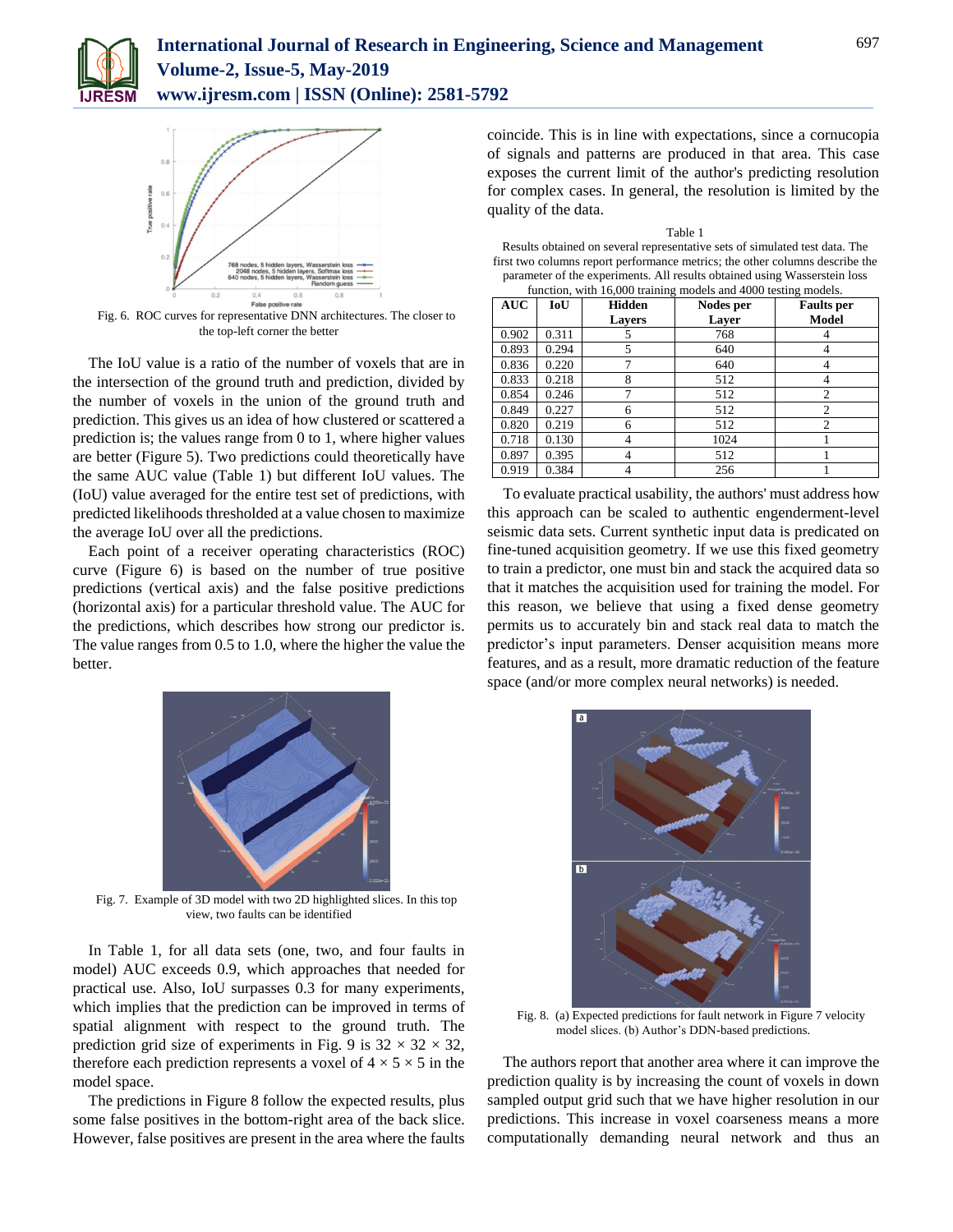



Fig. 6. ROC curves for representative DNN architectures. The closer to the top-left corner the better

The IoU value is a ratio of the number of voxels that are in the intersection of the ground truth and prediction, divided by the number of voxels in the union of the ground truth and prediction. This gives us an idea of how clustered or scattered a prediction is; the values range from 0 to 1, where higher values are better (Figure 5). Two predictions could theoretically have the same AUC value (Table 1) but different IoU values. The (IoU) value averaged for the entire test set of predictions, with predicted likelihoods thresholded at a value chosen to maximize the average IoU over all the predictions.

Each point of a receiver operating characteristics (ROC) curve (Figure 6) is based on the number of true positive predictions (vertical axis) and the false positive predictions (horizontal axis) for a particular threshold value. The AUC for the predictions, which describes how strong our predictor is. The value ranges from 0.5 to 1.0, where the higher the value the better.



Fig. 7. Example of 3D model with two 2D highlighted slices. In this top view, two faults can be identified

In Table 1, for all data sets (one, two, and four faults in model) AUC exceeds 0.9, which approaches that needed for practical use. Also, IoU surpasses 0.3 for many experiments, which implies that the prediction can be improved in terms of spatial alignment with respect to the ground truth. The prediction grid size of experiments in Fig. 9 is  $32 \times 32 \times 32$ , therefore each prediction represents a voxel of  $4 \times 5 \times 5$  in the model space.

The predictions in Figure 8 follow the expected results, plus some false positives in the bottom-right area of the back slice. However, false positives are present in the area where the faults

coincide. This is in line with expectations, since a cornucopia of signals and patterns are produced in that area. This case exposes the current limit of the author's predicting resolution for complex cases. In general, the resolution is limited by the quality of the data.

| Table 1                                                                      |
|------------------------------------------------------------------------------|
| Results obtained on several representative sets of simulated test data. The  |
| first two columns report performance metrics; the other columns describe the |
| parameter of the experiments. All results obtained using Wasserstein loss    |
| function, with 16,000 training models and 4000 testing models.               |

| <b>AUC</b> | IoU   | <b>Hidden</b><br><b>Lavers</b> | Nodes per<br>Laver | <b>Faults</b> per<br>Model |
|------------|-------|--------------------------------|--------------------|----------------------------|
| 0.902      | 0.311 |                                | 768                |                            |
| 0.893      | 0.294 | 5                              | 640                |                            |
| 0.836      | 0.220 |                                | 640                |                            |
| 0.833      | 0.218 | 8                              | 512                |                            |
| 0.854      | 0.246 | 7                              | 512                | $\overline{c}$             |
| 0.849      | 0.227 | 6                              | 512                | $\overline{c}$             |
| 0.820      | 0.219 | 6                              | 512                | $\overline{c}$             |
| 0.718      | 0.130 | 4                              | 1024               |                            |
| 0.897      | 0.395 | 4                              | 512                |                            |
| 0.919      | 0.384 |                                | 256                |                            |

To evaluate practical usability, the authors' must address how this approach can be scaled to authentic engenderment-level seismic data sets. Current synthetic input data is predicated on fine-tuned acquisition geometry. If we use this fixed geometry to train a predictor, one must bin and stack the acquired data so that it matches the acquisition used for training the model. For this reason, we believe that using a fixed dense geometry permits us to accurately bin and stack real data to match the predictor's input parameters. Denser acquisition means more features, and as a result, more dramatic reduction of the feature space (and/or more complex neural networks) is needed.



Fig. 8. (a) Expected predictions for fault network in Figure 7 velocity model slices. (b) Author's DDN-based predictions.

The authors report that another area where it can improve the prediction quality is by increasing the count of voxels in down sampled output grid such that we have higher resolution in our predictions. This increase in voxel coarseness means a more computationally demanding neural network and thus an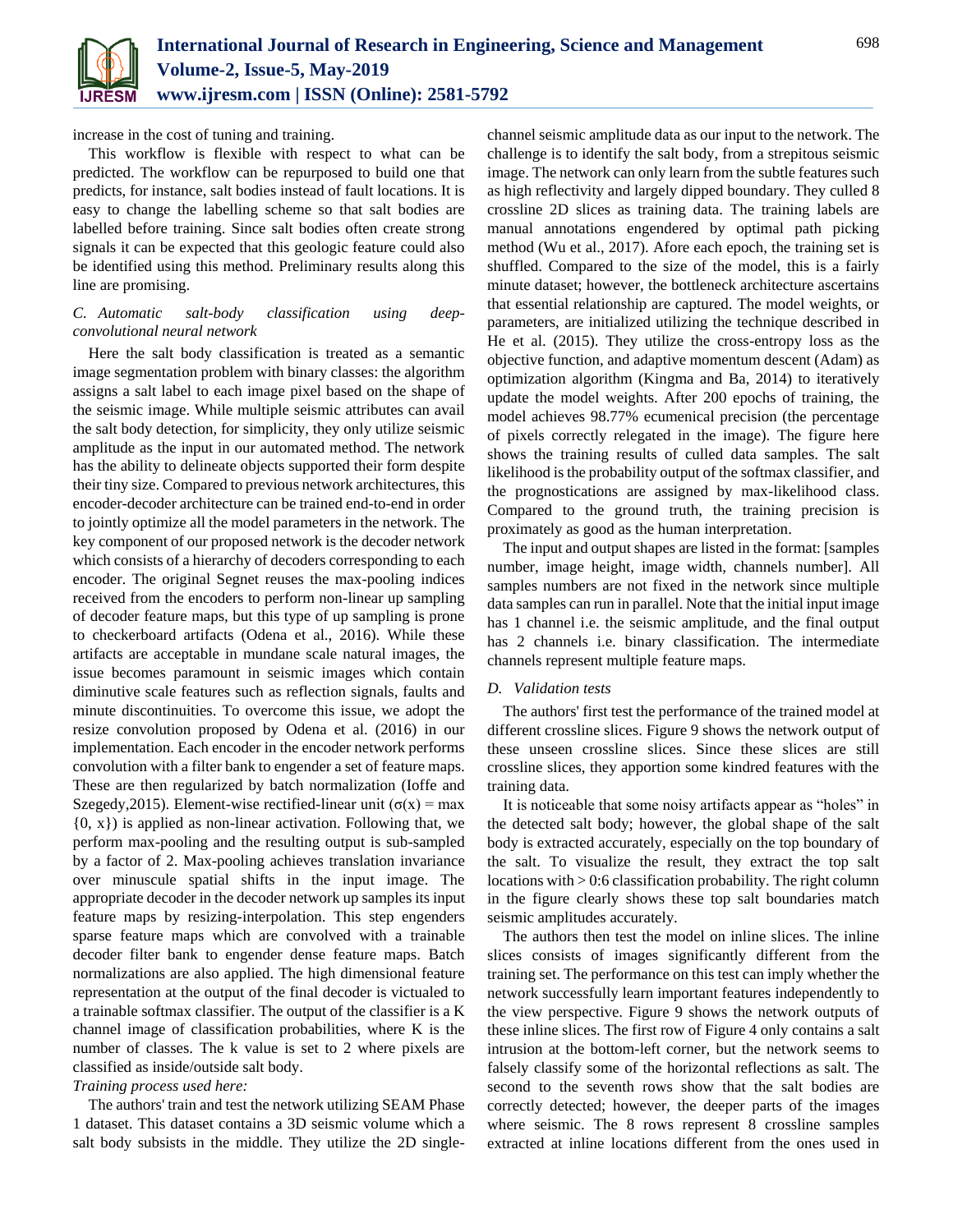

increase in the cost of tuning and training.

This workflow is flexible with respect to what can be predicted. The workflow can be repurposed to build one that predicts, for instance, salt bodies instead of fault locations. It is easy to change the labelling scheme so that salt bodies are labelled before training. Since salt bodies often create strong signals it can be expected that this geologic feature could also be identified using this method. Preliminary results along this line are promising.

# *C. Automatic salt-body classification using deepconvolutional neural network*

Here the salt body classification is treated as a semantic image segmentation problem with binary classes: the algorithm assigns a salt label to each image pixel based on the shape of the seismic image. While multiple seismic attributes can avail the salt body detection, for simplicity, they only utilize seismic amplitude as the input in our automated method. The network has the ability to delineate objects supported their form despite their tiny size. Compared to previous network architectures, this encoder-decoder architecture can be trained end-to-end in order to jointly optimize all the model parameters in the network. The key component of our proposed network is the decoder network which consists of a hierarchy of decoders corresponding to each encoder. The original Segnet reuses the max-pooling indices received from the encoders to perform non-linear up sampling of decoder feature maps, but this type of up sampling is prone to checkerboard artifacts (Odena et al., 2016). While these artifacts are acceptable in mundane scale natural images, the issue becomes paramount in seismic images which contain diminutive scale features such as reflection signals, faults and minute discontinuities. To overcome this issue, we adopt the resize convolution proposed by Odena et al. (2016) in our implementation. Each encoder in the encoder network performs convolution with a filter bank to engender a set of feature maps. These are then regularized by batch normalization (Ioffe and Szegedy, 2015). Element-wise rectified-linear unit ( $\sigma(x)$  = max  $\{0, x\}$ ) is applied as non-linear activation. Following that, we perform max-pooling and the resulting output is sub-sampled by a factor of 2. Max-pooling achieves translation invariance over minuscule spatial shifts in the input image. The appropriate decoder in the decoder network up samples its input feature maps by resizing-interpolation. This step engenders sparse feature maps which are convolved with a trainable decoder filter bank to engender dense feature maps. Batch normalizations are also applied. The high dimensional feature representation at the output of the final decoder is victualed to a trainable softmax classifier. The output of the classifier is a K channel image of classification probabilities, where K is the number of classes. The k value is set to 2 where pixels are classified as inside/outside salt body.

# *Training process used here:*

The authors' train and test the network utilizing SEAM Phase 1 dataset. This dataset contains a 3D seismic volume which a salt body subsists in the middle. They utilize the 2D singlechannel seismic amplitude data as our input to the network. The challenge is to identify the salt body, from a strepitous seismic image. The network can only learn from the subtle features such as high reflectivity and largely dipped boundary. They culled 8 crossline 2D slices as training data. The training labels are manual annotations engendered by optimal path picking method (Wu et al., 2017). Afore each epoch, the training set is shuffled. Compared to the size of the model, this is a fairly minute dataset; however, the bottleneck architecture ascertains that essential relationship are captured. The model weights, or parameters, are initialized utilizing the technique described in He et al. (2015). They utilize the cross-entropy loss as the objective function, and adaptive momentum descent (Adam) as optimization algorithm (Kingma and Ba, 2014) to iteratively update the model weights. After 200 epochs of training, the model achieves 98.77% ecumenical precision (the percentage of pixels correctly relegated in the image). The figure here shows the training results of culled data samples. The salt likelihood is the probability output of the softmax classifier, and the prognostications are assigned by max-likelihood class. Compared to the ground truth, the training precision is proximately as good as the human interpretation.

The input and output shapes are listed in the format: [samples number, image height, image width, channels number]. All samples numbers are not fixed in the network since multiple data samples can run in parallel. Note that the initial input image has 1 channel i.e. the seismic amplitude, and the final output has 2 channels i.e. binary classification. The intermediate channels represent multiple feature maps.

# *D. Validation tests*

The authors' first test the performance of the trained model at different crossline slices. Figure 9 shows the network output of these unseen crossline slices. Since these slices are still crossline slices, they apportion some kindred features with the training data.

It is noticeable that some noisy artifacts appear as "holes" in the detected salt body; however, the global shape of the salt body is extracted accurately, especially on the top boundary of the salt. To visualize the result, they extract the top salt locations with > 0:6 classification probability. The right column in the figure clearly shows these top salt boundaries match seismic amplitudes accurately.

The authors then test the model on inline slices. The inline slices consists of images significantly different from the training set. The performance on this test can imply whether the network successfully learn important features independently to the view perspective. Figure 9 shows the network outputs of these inline slices. The first row of Figure 4 only contains a salt intrusion at the bottom-left corner, but the network seems to falsely classify some of the horizontal reflections as salt. The second to the seventh rows show that the salt bodies are correctly detected; however, the deeper parts of the images where seismic. The 8 rows represent 8 crossline samples extracted at inline locations different from the ones used in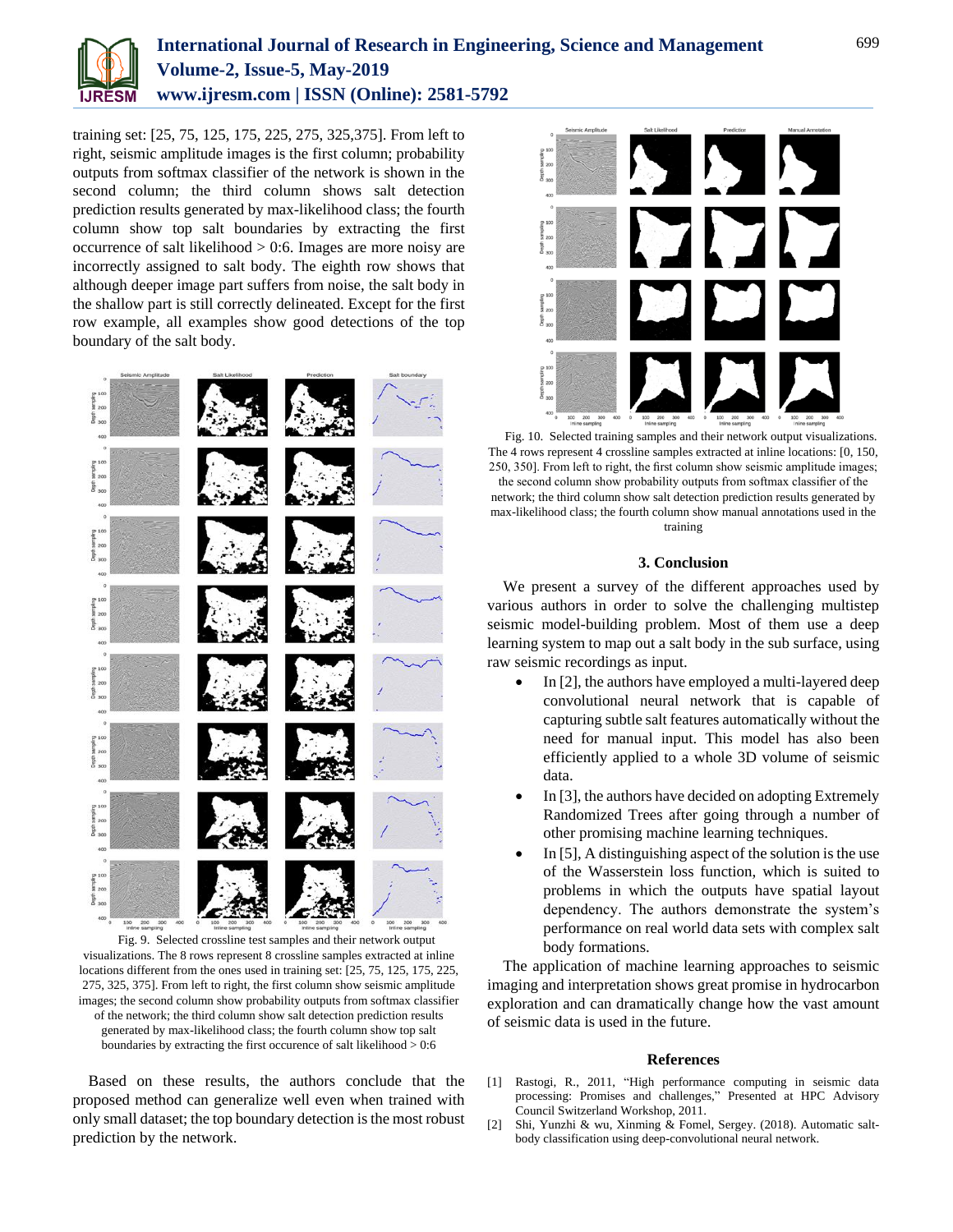

training set: [25, 75, 125, 175, 225, 275, 325,375]. From left to right, seismic amplitude images is the first column; probability outputs from softmax classifier of the network is shown in the second column; the third column shows salt detection prediction results generated by max-likelihood class; the fourth column show top salt boundaries by extracting the first occurrence of salt likelihood  $> 0.6$ . Images are more noisy are incorrectly assigned to salt body. The eighth row shows that although deeper image part suffers from noise, the salt body in the shallow part is still correctly delineated. Except for the first row example, all examples show good detections of the top boundary of the salt body.



Fig. 9. Selected crossline test samples and their network output visualizations. The 8 rows represent 8 crossline samples extracted at inline locations different from the ones used in training set: [25, 75, 125, 175, 225, 275, 325, 375]. From left to right, the first column show seismic amplitude images; the second column show probability outputs from softmax classifier of the network; the third column show salt detection prediction results generated by max-likelihood class; the fourth column show top salt boundaries by extracting the first occurence of salt likelihood > 0:6

Based on these results, the authors conclude that the proposed method can generalize well even when trained with only small dataset; the top boundary detection is the most robust prediction by the network.



Fig. 10. Selected training samples and their network output visualizations. The 4 rows represent 4 crossline samples extracted at inline locations: [0, 150, 250, 350]. From left to right, the first column show seismic amplitude images; the second column show probability outputs from softmax classifier of the network; the third column show salt detection prediction results generated by max-likelihood class; the fourth column show manual annotations used in the training

## **3. Conclusion**

We present a survey of the different approaches used by various authors in order to solve the challenging multistep seismic model-building problem. Most of them use a deep learning system to map out a salt body in the sub surface, using raw seismic recordings as input.

- $\bullet$  In [2], the authors have employed a multi-layered deep convolutional neural network that is capable of capturing subtle salt features automatically without the need for manual input. This model has also been efficiently applied to a whole 3D volume of seismic data.
- In [3], the authors have decided on adopting Extremely Randomized Trees after going through a number of other promising machine learning techniques.
- In [5], A distinguishing aspect of the solution is the use of the Wasserstein loss function, which is suited to problems in which the outputs have spatial layout dependency. The authors demonstrate the system's performance on real world data sets with complex salt body formations.

The application of machine learning approaches to seismic imaging and interpretation shows great promise in hydrocarbon exploration and can dramatically change how the vast amount of seismic data is used in the future.

#### **References**

- [1] Rastogi, R., 2011, "High performance computing in seismic data processing: Promises and challenges," Presented at HPC Advisory Council Switzerland Workshop, 2011.
- [2] Shi, Yunzhi & wu, Xinming & Fomel, Sergey. (2018). Automatic saltbody classification using deep-convolutional neural network.